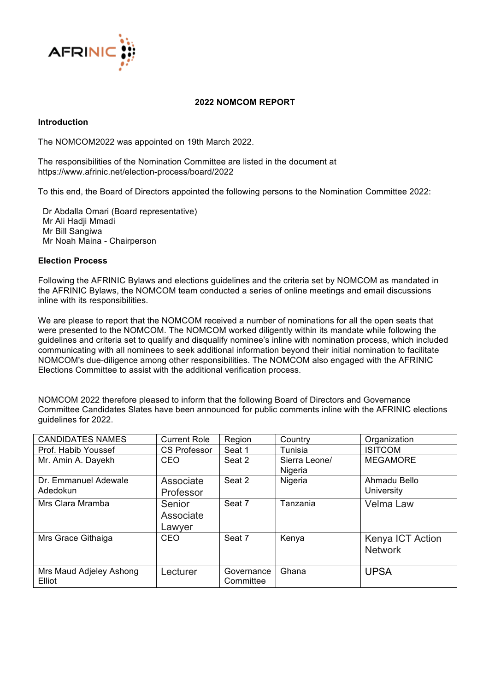

## **2022 NOMCOM REPORT**

## **Introduction**

The NOMCOM2022 was appointed on 19th March 2022.

The responsibilities of the Nomination Committee are listed in the document at https://www.afrinic.net/election-process/board/2022

To this end, the Board of Directors appointed the following persons to the Nomination Committee 2022:

 Dr Abdalla Omari (Board representative) Mr Ali Hadji Mmadi Mr Bill Sangiwa Mr Noah Maina - Chairperson

## **Election Process**

Following the AFRINIC Bylaws and elections guidelines and the criteria set by NOMCOM as mandated in the AFRINIC Bylaws, the NOMCOM team conducted a series of online meetings and email discussions inline with its responsibilities.

We are please to report that the NOMCOM received a number of nominations for all the open seats that were presented to the NOMCOM. The NOMCOM worked diligently within its mandate while following the guidelines and criteria set to qualify and disqualify nominee's inline with nomination process, which included communicating with all nominees to seek additional information beyond their initial nomination to facilitate NOMCOM's due-diligence among other responsibilities. The NOMCOM also engaged with the AFRINIC Elections Committee to assist with the additional verification process.

NOMCOM 2022 therefore pleased to inform that the following Board of Directors and Governance Committee Candidates Slates have been announced for public comments inline with the AFRINIC elections guidelines for 2022.

| <b>CANDIDATES NAMES</b>           | <b>Current Role</b>           | Region                  | Country                  | Organization                       |
|-----------------------------------|-------------------------------|-------------------------|--------------------------|------------------------------------|
| Prof. Habib Youssef               | <b>CS Professor</b>           | Seat 1                  | Tunisia                  | <b>ISITCOM</b>                     |
| Mr. Amin A. Dayekh                | CEO                           | Seat 2                  | Sierra Leone/<br>Nigeria | <b>MEGAMORE</b>                    |
| Dr. Emmanuel Adewale<br>Adedokun  | Associate<br>Professor        | Seat 2                  | Nigeria                  | Ahmadu Bello<br>University         |
| Mrs Clara Mramba                  | Senior<br>Associate<br>Lawyer | Seat 7                  | Tanzania                 | Velma Law                          |
| Mrs Grace Githaiga                | <b>CEO</b>                    | Seat 7                  | Kenya                    | Kenya ICT Action<br><b>Network</b> |
| Mrs Maud Adjeley Ashong<br>Elliot | Lecturer                      | Governance<br>Committee | Ghana                    | <b>UPSA</b>                        |